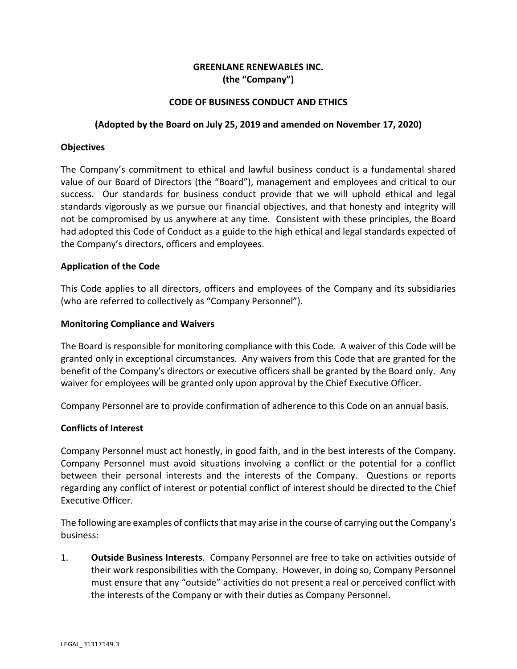## **GREENLANE RENEWABLES INC. (the "Company")**

## **CODE OF BUSINESS CONDUCT AND ETHICS**

#### **(Adopted by the Board on July 25, 2019 and amended on November 17, 2020)**

#### **Objectives**

The Company's commitment to ethical and lawful business conduct is a fundamental shared value of our Board of Directors (the "Board"), management and employees and critical to our success. Our standards for business conduct provide that we will uphold ethical and legal standards vigorously as we pursue our financial objectives, and that honesty and integrity will not be compromised by us anywhere at any time. Consistent with these principles, the Board had adopted this Code of Conduct as a guide to the high ethical and legal standards expected of the Company's directors, officers and employees.

#### **Application of the Code**

This Code applies to all directors, officers and employees of the Company and its subsidiaries (who are referred to collectively as "Company Personnel").

#### **Monitoring Compliance and Waivers**

The Board is responsible for monitoring compliance with this Code. A waiver of this Code will be granted only in exceptional circumstances. Any waivers from this Code that are granted for the benefit of the Company's directors or executive officers shall be granted by the Board only. Any waiver for employees will be granted only upon approval by the Chief Executive Officer.

Company Personnel are to provide confirmation of adherence to this Code on an annual basis.

#### **Conflicts of Interest**

Company Personnel must act honestly, in good faith, and in the best interests of the Company. Company Personnel must avoid situations involving a conflict or the potential for a conflict between their personal interests and the interests of the Company. Questions or reports regarding any conflict of interest or potential conflict of interest should be directed to the Chief Executive Officer.

The following are examples of conflicts that may arise in the course of carrying out the Company's business:

1. **Outside Business Interests**. Company Personnel are free to take on activities outside of their work responsibilities with the Company. However, in doing so, Company Personnel must ensure that any "outside" activities do not present a real or perceived conflict with the interests of the Company or with their duties as Company Personnel.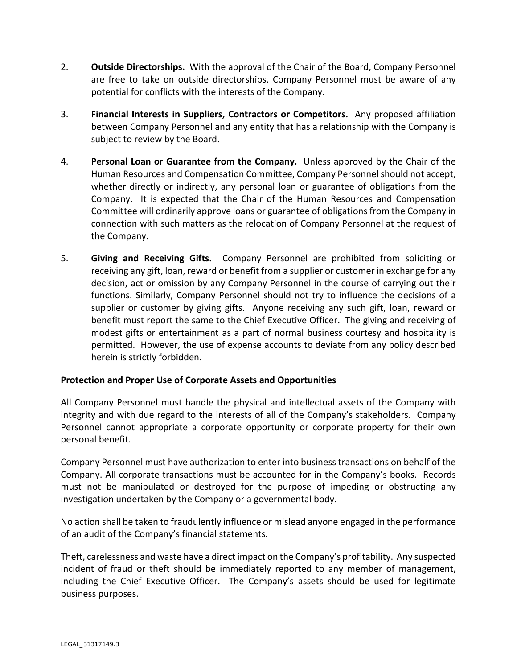- 2. **Outside Directorships.** With the approval of the Chair of the Board, Company Personnel are free to take on outside directorships. Company Personnel must be aware of any potential for conflicts with the interests of the Company.
- 3. **Financial Interests in Suppliers, Contractors or Competitors.** Any proposed affiliation between Company Personnel and any entity that has a relationship with the Company is subject to review by the Board.
- 4. **Personal Loan or Guarantee from the Company.** Unless approved by the Chair of the Human Resources and Compensation Committee, Company Personnel should not accept, whether directly or indirectly, any personal loan or guarantee of obligations from the Company. It is expected that the Chair of the Human Resources and Compensation Committee will ordinarily approve loans or guarantee of obligations from the Company in connection with such matters as the relocation of Company Personnel at the request of the Company.
- 5. **Giving and Receiving Gifts.** Company Personnel are prohibited from soliciting or receiving any gift, loan, reward or benefit from a supplier or customer in exchange for any decision, act or omission by any Company Personnel in the course of carrying out their functions. Similarly, Company Personnel should not try to influence the decisions of a supplier or customer by giving gifts. Anyone receiving any such gift, loan, reward or benefit must report the same to the Chief Executive Officer. The giving and receiving of modest gifts or entertainment as a part of normal business courtesy and hospitality is permitted. However, the use of expense accounts to deviate from any policy described herein is strictly forbidden.

## **Protection and Proper Use of Corporate Assets and Opportunities**

All Company Personnel must handle the physical and intellectual assets of the Company with integrity and with due regard to the interests of all of the Company's stakeholders. Company Personnel cannot appropriate a corporate opportunity or corporate property for their own personal benefit.

Company Personnel must have authorization to enter into business transactions on behalf of the Company. All corporate transactions must be accounted for in the Company's books. Records must not be manipulated or destroyed for the purpose of impeding or obstructing any investigation undertaken by the Company or a governmental body.

No action shall be taken to fraudulently influence or mislead anyone engaged in the performance of an audit of the Company's financial statements.

Theft, carelessness and waste have a direct impact on the Company's profitability. Any suspected incident of fraud or theft should be immediately reported to any member of management, including the Chief Executive Officer. The Company's assets should be used for legitimate business purposes.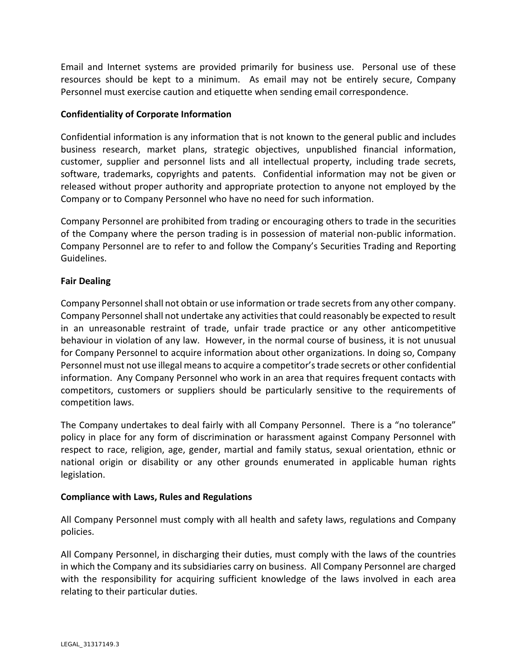Email and Internet systems are provided primarily for business use. Personal use of these resources should be kept to a minimum. As email may not be entirely secure, Company Personnel must exercise caution and etiquette when sending email correspondence.

## **Confidentiality of Corporate Information**

Confidential information is any information that is not known to the general public and includes business research, market plans, strategic objectives, unpublished financial information, customer, supplier and personnel lists and all intellectual property, including trade secrets, software, trademarks, copyrights and patents. Confidential information may not be given or released without proper authority and appropriate protection to anyone not employed by the Company or to Company Personnel who have no need for such information.

Company Personnel are prohibited from trading or encouraging others to trade in the securities of the Company where the person trading is in possession of material non-public information. Company Personnel are to refer to and follow the Company's Securities Trading and Reporting Guidelines.

#### **Fair Dealing**

Company Personnel shall not obtain or use information or trade secrets from any other company. Company Personnel shall not undertake any activities that could reasonably be expected to result in an unreasonable restraint of trade, unfair trade practice or any other anticompetitive behaviour in violation of any law. However, in the normal course of business, it is not unusual for Company Personnel to acquire information about other organizations. In doing so, Company Personnel must not use illegal means to acquire a competitor's trade secrets or other confidential information. Any Company Personnel who work in an area that requires frequent contacts with competitors, customers or suppliers should be particularly sensitive to the requirements of competition laws.

The Company undertakes to deal fairly with all Company Personnel. There is a "no tolerance" policy in place for any form of discrimination or harassment against Company Personnel with respect to race, religion, age, gender, martial and family status, sexual orientation, ethnic or national origin or disability or any other grounds enumerated in applicable human rights legislation.

## **Compliance with Laws, Rules and Regulations**

All Company Personnel must comply with all health and safety laws, regulations and Company policies.

All Company Personnel, in discharging their duties, must comply with the laws of the countries in which the Company and its subsidiaries carry on business. All Company Personnel are charged with the responsibility for acquiring sufficient knowledge of the laws involved in each area relating to their particular duties.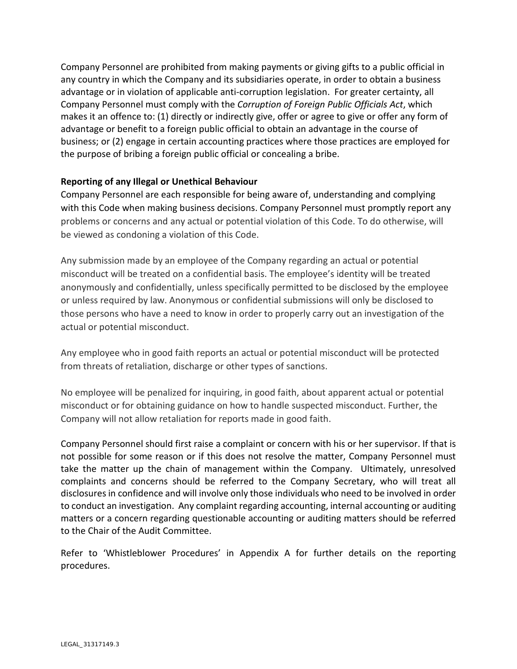Company Personnel are prohibited from making payments or giving gifts to a public official in any country in which the Company and its subsidiaries operate, in order to obtain a business advantage or in violation of applicable anti-corruption legislation. For greater certainty, all Company Personnel must comply with the *Corruption of Foreign Public Officials Act*, which makes it an offence to: (1) directly or indirectly give, offer or agree to give or offer any form of advantage or benefit to a foreign public official to obtain an advantage in the course of business; or (2) engage in certain accounting practices where those practices are employed for the purpose of bribing a foreign public official or concealing a bribe.

## **Reporting of any Illegal or Unethical Behaviour**

Company Personnel are each responsible for being aware of, understanding and complying with this Code when making business decisions. Company Personnel must promptly report any problems or concerns and any actual or potential violation of this Code. To do otherwise, will be viewed as condoning a violation of this Code.

Any submission made by an employee of the Company regarding an actual or potential misconduct will be treated on a confidential basis. The employee's identity will be treated anonymously and confidentially, unless specifically permitted to be disclosed by the employee or unless required by law. Anonymous or confidential submissions will only be disclosed to those persons who have a need to know in order to properly carry out an investigation of the actual or potential misconduct.

Any employee who in good faith reports an actual or potential misconduct will be protected from threats of retaliation, discharge or other types of sanctions.

No employee will be penalized for inquiring, in good faith, about apparent actual or potential misconduct or for obtaining guidance on how to handle suspected misconduct. Further, the Company will not allow retaliation for reports made in good faith.

Company Personnel should first raise a complaint or concern with his or her supervisor. If that is not possible for some reason or if this does not resolve the matter, Company Personnel must take the matter up the chain of management within the Company. Ultimately, unresolved complaints and concerns should be referred to the Company Secretary, who will treat all disclosures in confidence and will involve only those individuals who need to be involved in order to conduct an investigation. Any complaint regarding accounting, internal accounting or auditing matters or a concern regarding questionable accounting or auditing matters should be referred to the Chair of the Audit Committee.

Refer to 'Whistleblower Procedures' in Appendix A for further details on the reporting procedures.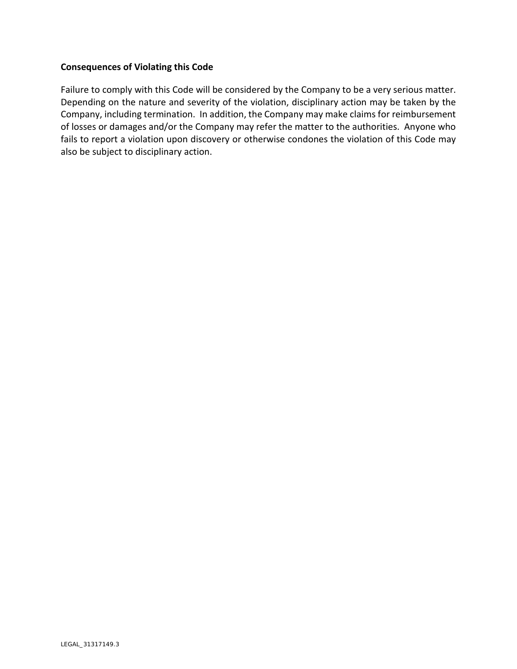## **Consequences of Violating this Code**

Failure to comply with this Code will be considered by the Company to be a very serious matter. Depending on the nature and severity of the violation, disciplinary action may be taken by the Company, including termination. In addition, the Company may make claims for reimbursement of losses or damages and/or the Company may refer the matter to the authorities. Anyone who fails to report a violation upon discovery or otherwise condones the violation of this Code may also be subject to disciplinary action.